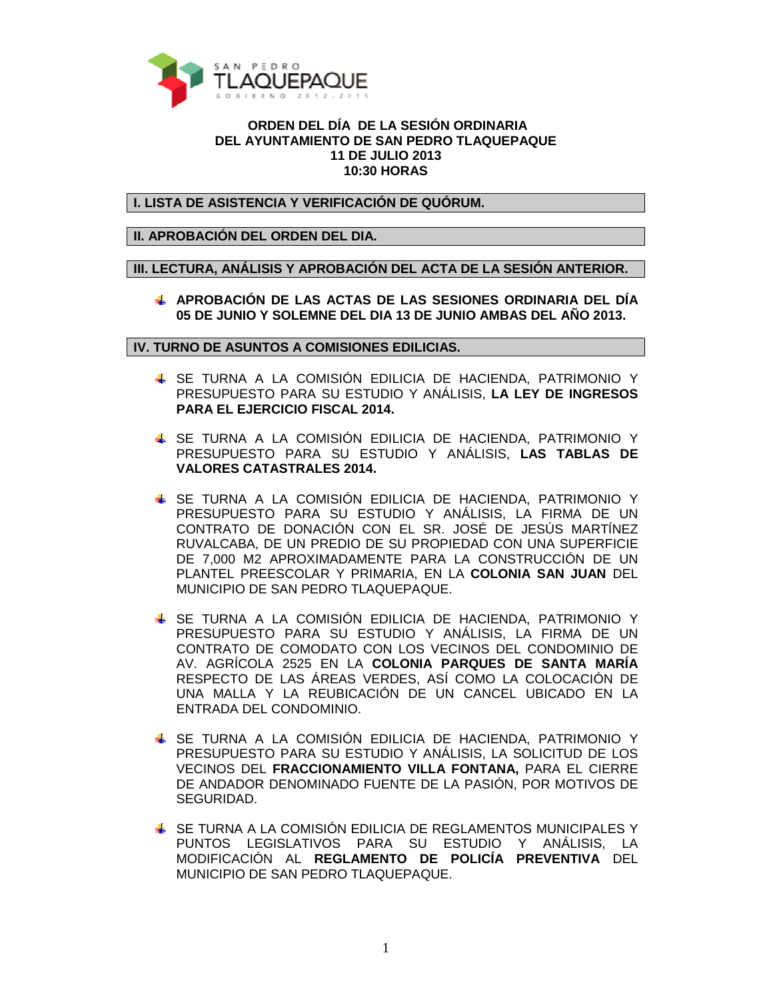

## **ORDEN DEL DÍA DE LA SESIÓN ORDINARIA DEL AYUNTAMIENTO DE SAN PEDRO TLAQUEPAQUE 11 DE JULIO 2013 10:30 HORAS**

**I. LISTA DE ASISTENCIA Y VERIFICACIÓN DE QUÓRUM.** 

**II. APROBACIÓN DEL ORDEN DEL DIA.** 

**III. LECTURA, ANÁLISIS Y APROBACIÓN DEL ACTA DE LA SESIÓN ANTERIOR.** 

**APROBACIÓN DE LAS ACTAS DE LAS SESIONES ORDINARIA DEL DÍA 05 DE JUNIO Y SOLEMNE DEL DIA 13 DE JUNIO AMBAS DEL AÑO 2013.** 

**IV. TURNO DE ASUNTOS A COMISIONES EDILICIAS.** 

- SE TURNA A LA COMISIÓN EDILICIA DE HACIENDA, PATRIMONIO Y PRESUPUESTO PARA SU ESTUDIO Y ANÁLISIS, **LA LEY DE INGRESOS PARA EL EJERCICIO FISCAL 2014.**
- SE TURNA A LA COMISIÓN EDILICIA DE HACIENDA, PATRIMONIO Y PRESUPUESTO PARA SU ESTUDIO Y ANÁLISIS, **LAS TABLAS DE VALORES CATASTRALES 2014.**
- SE TURNA A LA COMISIÓN EDILICIA DE HACIENDA, PATRIMONIO Y PRESUPUESTO PARA SU ESTUDIO Y ANÁLISIS, LA FIRMA DE UN CONTRATO DE DONACIÓN CON EL SR. JOSÉ DE JESÚS MARTÍNEZ RUVALCABA, DE UN PREDIO DE SU PROPIEDAD CON UNA SUPERFICIE DE 7,000 M2 APROXIMADAMENTE PARA LA CONSTRUCCIÓN DE UN PLANTEL PREESCOLAR Y PRIMARIA, EN LA **COLONIA SAN JUAN** DEL MUNICIPIO DE SAN PEDRO TLAQUEPAQUE.
- SE TURNA A LA COMISIÓN EDILICIA DE HACIENDA, PATRIMONIO Y PRESUPUESTO PARA SU ESTUDIO Y ANÁLISIS, LA FIRMA DE UN CONTRATO DE COMODATO CON LOS VECINOS DEL CONDOMINIO DE AV. AGRÍCOLA 2525 EN LA **COLONIA PARQUES DE SANTA MARÍA** RESPECTO DE LAS ÁREAS VERDES, ASÍ COMO LA COLOCACIÓN DE UNA MALLA Y LA REUBICACIÓN DE UN CANCEL UBICADO EN LA ENTRADA DEL CONDOMINIO.
- SE TURNA A LA COMISIÓN EDILICIA DE HACIENDA, PATRIMONIO Y PRESUPUESTO PARA SU ESTUDIO Y ANÁLISIS, LA SOLICITUD DE LOS VECINOS DEL **FRACCIONAMIENTO VILLA FONTANA,** PARA EL CIERRE DE ANDADOR DENOMINADO FUENTE DE LA PASIÓN, POR MOTIVOS DE SEGURIDAD.
- SE TURNA A LA COMISIÓN EDILICIA DE REGLAMENTOS MUNICIPALES Y PUNTOS LEGISLATIVOS PARA SU ESTUDIO Y ANÁLISIS, LA MODIFICACIÓN AL **REGLAMENTO DE POLICÍA PREVENTIVA** DEL MUNICIPIO DE SAN PEDRO TLAQUEPAQUE.